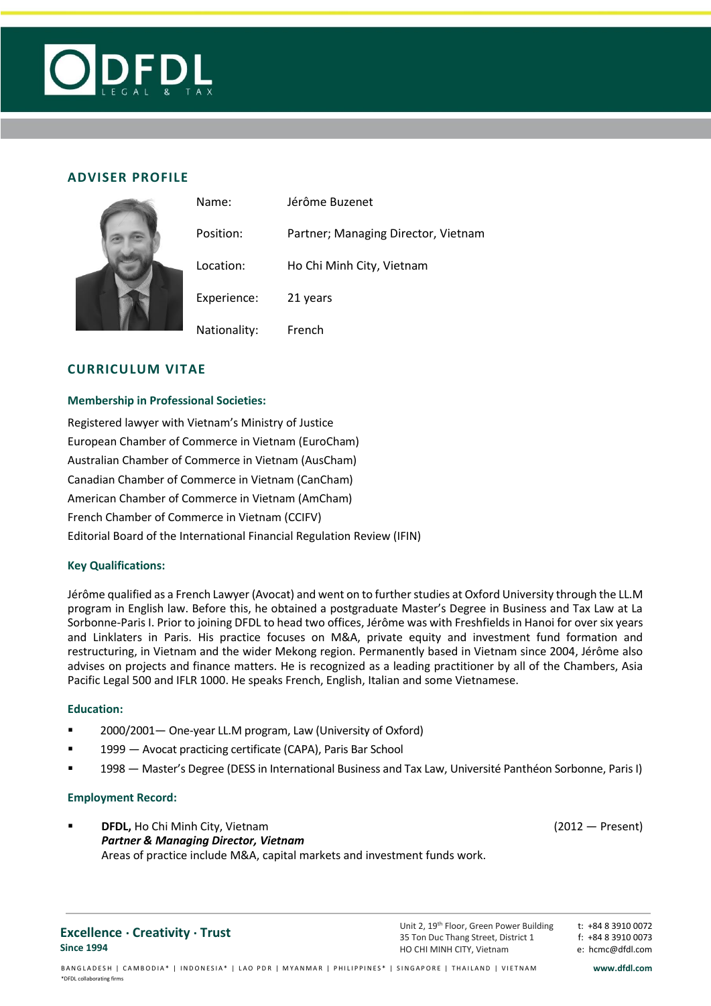

# **ADVISER PROFILE**

|  | Name:        | Jérôme Buzenet                      |
|--|--------------|-------------------------------------|
|  | Position:    | Partner; Managing Director, Vietnam |
|  | Location:    | Ho Chi Minh City, Vietnam           |
|  | Experience:  | 21 years                            |
|  | Nationality: | French                              |

### **CURRICULUM VITAE**

#### **Membership in Professional Societies:**

Registered lawyer with Vietnam's Ministry of Justice European Chamber of Commerce in Vietnam (EuroCham) Australian Chamber of Commerce in Vietnam (AusCham) Canadian Chamber of Commerce in Vietnam (CanCham) American Chamber of Commerce in Vietnam (AmCham) French Chamber of Commerce in Vietnam (CCIFV) Editorial Board of the International Financial Regulation Review (IFIN)

### **Key Qualifications:**

Jérôme qualified as a French Lawyer (Avocat) and went on to further studies at Oxford University through the LL.M program in English law. Before this, he obtained a postgraduate Master's Degree in Business and Tax Law at La Sorbonne-Paris I. Prior to joining DFDL to head two offices, Jérôme was with Freshfields in Hanoi for over six years and Linklaters in Paris. His practice focuses on M&A, private equity and investment fund formation and restructuring, in Vietnam and the wider Mekong region. Permanently based in Vietnam since 2004, Jérôme also advises on projects and finance matters. He is recognized as a leading practitioner by all of the Chambers, Asia Pacific Legal 500 and IFLR 1000. He speaks French, English, Italian and some Vietnamese.

#### **Education:**

- 2000/2001 One-year LL.M program[, Law](http://www.linkedin.com/search?search=&keywords=Law&sortCriteria=R&keepFacets=true) (University of Oxford)
- 1999 Avocat practicing certificate (CAPA), Paris Bar School
- 1998 Master's Degree (DESS in International Business and Tax Law, [Université Panthéon Sorbonne,](http://www.linkedin.com/search?search=&school=Universit%C3%A9+Panth%C3%A9on+Sorbonne+%28Paris+I%29&sortCriteria=R&keepFacets=true) Paris I)

#### **Employment Record:**

**DFDL,** Ho Chi Minh City, Vietnam (2012 — Present) *Partner & Managing Director, Vietnam* Areas of practice include M&A, capital markets and investment funds work.

#### **Excellence . Creativity . Trust Since 1994**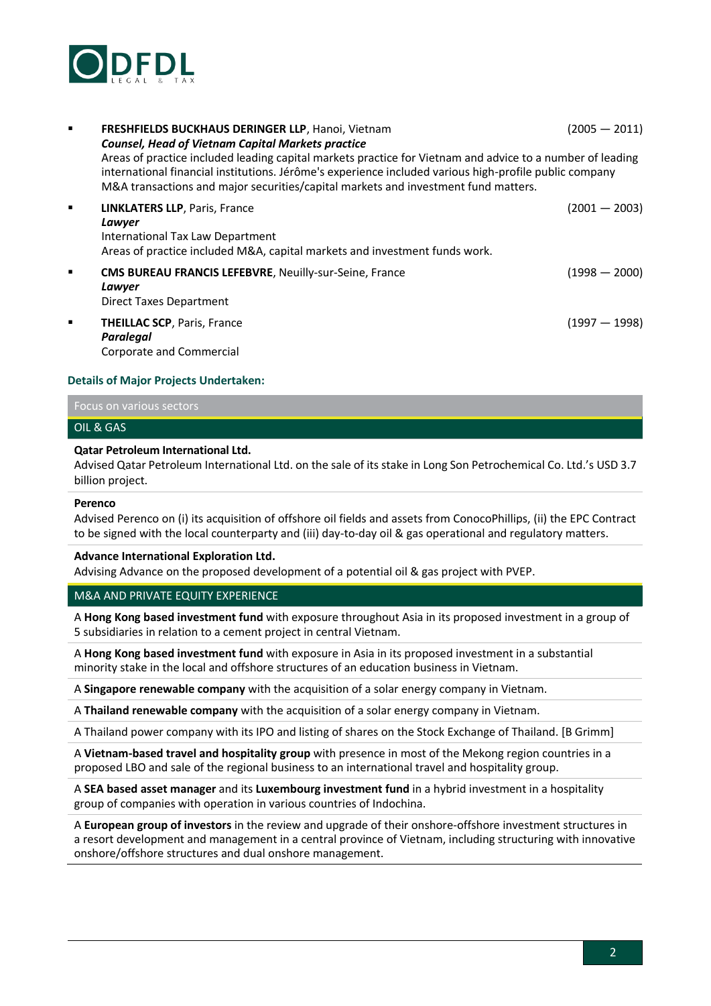

| ٠              | FRESHFIELDS BUCKHAUS DERINGER LLP, Hanoi, Vietnam<br><b>Counsel, Head of Vietnam Capital Markets practice</b><br>Areas of practice included leading capital markets practice for Vietnam and advice to a number of leading<br>international financial institutions. Jérôme's experience included various high-profile public company<br>M&A transactions and major securities/capital markets and investment fund matters. | $(2005 - 2011)$ |
|----------------|----------------------------------------------------------------------------------------------------------------------------------------------------------------------------------------------------------------------------------------------------------------------------------------------------------------------------------------------------------------------------------------------------------------------------|-----------------|
| ٠              | <b>LINKLATERS LLP, Paris, France</b><br>Lawyer<br>International Tax Law Department<br>Areas of practice included M&A, capital markets and investment funds work.                                                                                                                                                                                                                                                           | $(2001 - 2003)$ |
| $\blacksquare$ | CMS BUREAU FRANCIS LEFEBVRE, Neuilly-sur-Seine, France<br>Lawyer<br>Direct Taxes Department                                                                                                                                                                                                                                                                                                                                | $(1998 - 2000)$ |
| $\blacksquare$ | <b>THEILLAC SCP, Paris, France</b><br>Paralegal<br>Corporate and Commercial                                                                                                                                                                                                                                                                                                                                                | $(1997 - 1998)$ |

#### **Details of Major Projects Undertaken:**

# Focus on various sectors

# OIL & GAS

#### **Qatar Petroleum International Ltd.**

Advised Qatar Petroleum International Ltd. on the sale of its stake in Long Son Petrochemical Co. Ltd.'s USD 3.7 billion project.

#### **Perenco**

Advised Perenco on (i) its acquisition of offshore oil fields and assets from ConocoPhillips, (ii) the EPC Contract to be signed with the local counterparty and (iii) day-to-day oil & gas operational and regulatory matters.

#### **Advance International Exploration Ltd.**

Advising Advance on the proposed development of a potential oil & gas project with PVEP.

#### M&A AND PRIVATE EQUITY EXPERIENCE

A **Hong Kong based investment fund** with exposure throughout Asia in its proposed investment in a group of 5 subsidiaries in relation to a cement project in central Vietnam.

A **Hong Kong based investment fund** with exposure in Asia in its proposed investment in a substantial minority stake in the local and offshore structures of an education business in Vietnam.

A **Singapore renewable company** with the acquisition of a solar energy company in Vietnam.

A **Thailand renewable company** with the acquisition of a solar energy company in Vietnam.

A Thailand power company with its IPO and listing of shares on the Stock Exchange of Thailand. [B Grimm]

A **Vietnam-based travel and hospitality group** with presence in most of the Mekong region countries in a proposed LBO and sale of the regional business to an international travel and hospitality group.

A **SEA based asset manager** and its **Luxembourg investment fund** in a hybrid investment in a hospitality group of companies with operation in various countries of Indochina.

A **European group of investors** in the review and upgrade of their onshore-offshore investment structures in a resort development and management in a central province of Vietnam, including structuring with innovative onshore/offshore structures and dual onshore management.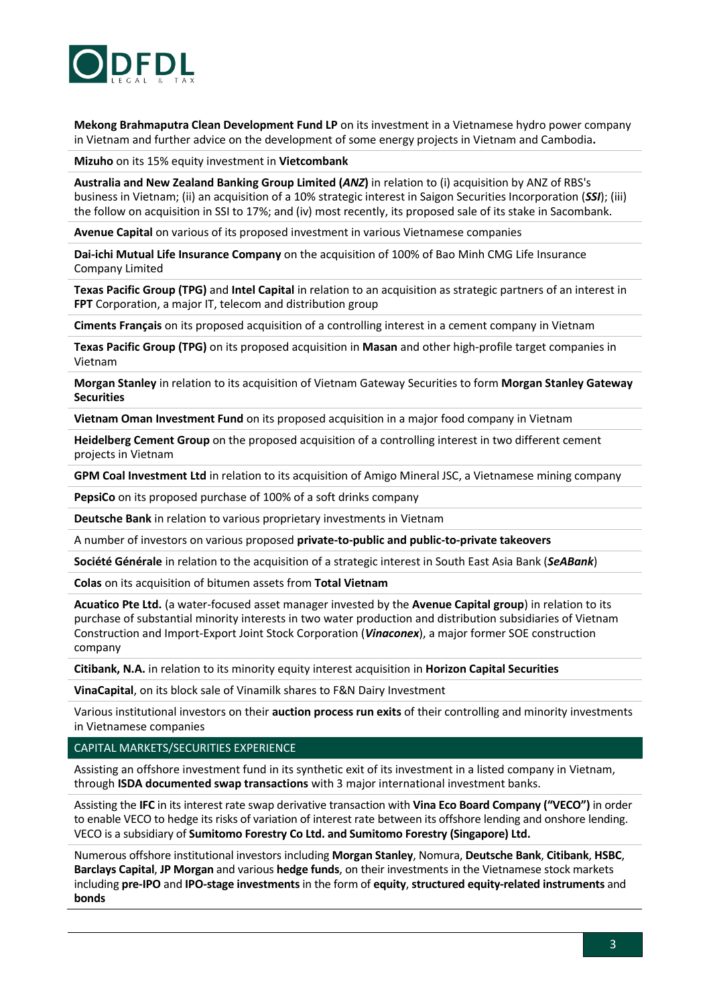

**Mekong Brahmaputra Clean Development Fund LP** on its investment in a Vietnamese hydro power company in Vietnam and further advice on the development of some energy projects in Vietnam and Cambodia**.**

**Mizuho** on its 15% equity investment in **Vietcombank** 

**Australia and New Zealand Banking Group Limited (***ANZ***)** in relation to (i) acquisition by ANZ of RBS's business in Vietnam; (ii) an acquisition of a 10% strategic interest in Saigon Securities Incorporation (*SSI*); (iii) the follow on acquisition in SSI to 17%; and (iv) most recently, its proposed sale of its stake in Sacombank.

**Avenue Capital** on various of its proposed investment in various Vietnamese companies

**Dai-ichi Mutual Life Insurance Company** on the acquisition of 100% of Bao Minh CMG Life Insurance Company Limited

**Texas Pacific Group (TPG)** and **Intel Capital** in relation to an acquisition as strategic partners of an interest in **FPT** Corporation, a major IT, telecom and distribution group

**Ciments Français** on its proposed acquisition of a controlling interest in a cement company in Vietnam

**Texas Pacific Group (TPG)** on its proposed acquisition in **Masan** and other high-profile target companies in Vietnam

**Morgan Stanley** in relation to its acquisition of Vietnam Gateway Securities to form **Morgan Stanley Gateway Securities**

**Vietnam Oman Investment Fund** on its proposed acquisition in a major food company in Vietnam

**Heidelberg Cement Group** on the proposed acquisition of a controlling interest in two different cement projects in Vietnam

**GPM Coal Investment Ltd** in relation to its acquisition of Amigo Mineral JSC, a Vietnamese mining company

**PepsiCo** on its proposed purchase of 100% of a soft drinks company

**Deutsche Bank** in relation to various proprietary investments in Vietnam

A number of investors on various proposed **private-to-public and public-to-private takeovers**

**Société Générale** in relation to the acquisition of a strategic interest in South East Asia Bank (*SeABank*)

**Colas** on its acquisition of bitumen assets from **Total Vietnam**

**Acuatico Pte Ltd.** (a water-focused asset manager invested by the **Avenue Capital group**) in relation to its purchase of substantial minority interests in two water production and distribution subsidiaries of Vietnam Construction and Import-Export Joint Stock Corporation (*Vinaconex*), a major former SOE construction company

**Citibank, N.A.** in relation to its minority equity interest acquisition in **Horizon Capital Securities**

**VinaCapital**, on its block sale of Vinamilk shares to F&N Dairy Investment

Various institutional investors on their **auction process run exits** of their controlling and minority investments in Vietnamese companies

CAPITAL MARKETS/SECURITIES EXPERIENCE

Assisting an offshore investment fund in its synthetic exit of its investment in a listed company in Vietnam, through **ISDA documented swap transactions** with 3 major international investment banks.

Assisting the **IFC** in its interest rate swap derivative transaction with **Vina Eco Board Company ("VECO")** in order to enable VECO to hedge its risks of variation of interest rate between its offshore lending and onshore lending. VECO is a subsidiary of **Sumitomo Forestry Co Ltd. and Sumitomo Forestry (Singapore) Ltd.**

Numerous offshore institutional investors including **Morgan Stanley**, Nomura, **Deutsche Bank**, **Citibank**, **HSBC**, **Barclays Capital**, **JP Morgan** and various **hedge funds**, on their investments in the Vietnamese stock markets including **pre-IPO** and **IPO-stage investments** in the form of **equity**, **structured equity-related instruments** and **bonds**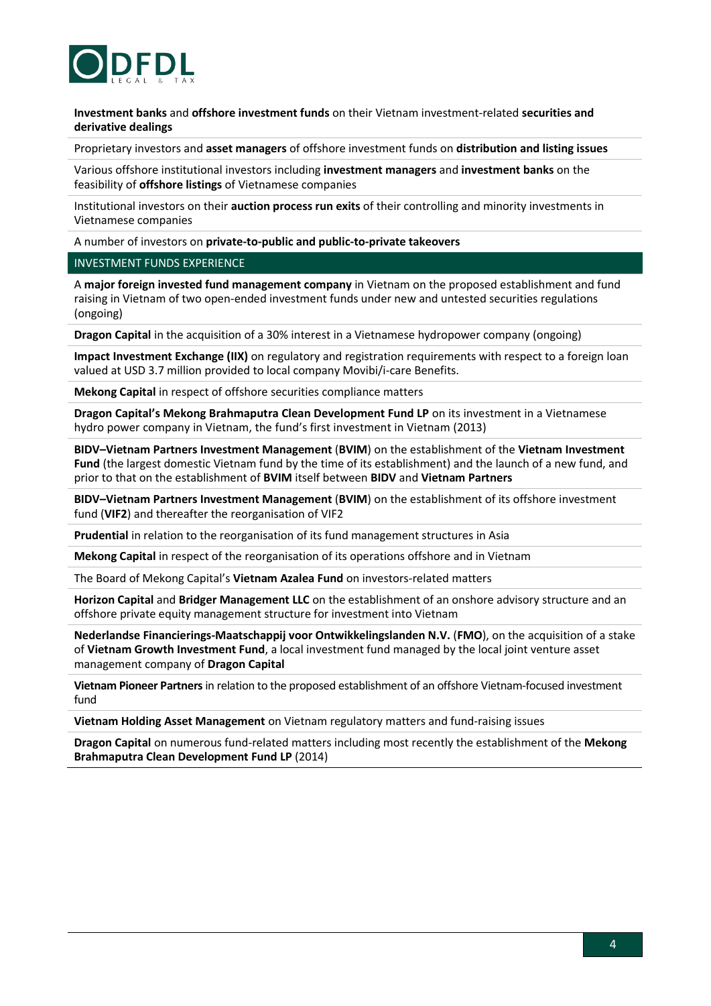

**Investment banks** and **offshore investment funds** on their Vietnam investment-related **securities and derivative dealings** 

Proprietary investors and **asset managers** of offshore investment funds on **distribution and listing issues**

Various offshore institutional investors including **investment managers** and **investment banks** on the feasibility of **offshore listings** of Vietnamese companies

Institutional investors on their **auction process run exits** of their controlling and minority investments in Vietnamese companies

A number of investors on **private-to-public and public-to-private takeovers**

#### INVESTMENT FUNDS EXPERIENCE

A **major foreign invested fund management company** in Vietnam on the proposed establishment and fund raising in Vietnam of two open-ended investment funds under new and untested securities regulations (ongoing)

**Dragon Capital** in the acquisition of a 30% interest in a Vietnamese hydropower company (ongoing)

**Impact Investment Exchange (IIX)** on regulatory and registration requirements with respect to a foreign loan valued at USD 3.7 million provided to local company Movibi/i-care Benefits.

**Mekong Capital** in respect of offshore securities compliance matters

**Dragon Capital's Mekong Brahmaputra Clean Development Fund LP** on its investment in a Vietnamese hydro power company in Vietnam, the fund's first investment in Vietnam (2013)

**BIDV–Vietnam Partners Investment Management** (**BVIM**) on the establishment of the **Vietnam Investment Fund** (the largest domestic Vietnam fund by the time of its establishment) and the launch of a new fund, and prior to that on the establishment of **BVIM** itself between **BIDV** and **Vietnam Partners**

**BIDV–Vietnam Partners Investment Management** (**BVIM**) on the establishment of its offshore investment fund (**VIF2**) and thereafter the reorganisation of VIF2

**Prudential** in relation to the reorganisation of its fund management structures in Asia

**Mekong Capital** in respect of the reorganisation of its operations offshore and in Vietnam

The Board of Mekong Capital's **Vietnam Azalea Fund** on investors-related matters

**Horizon Capital** and **Bridger Management LLC** on the establishment of an onshore advisory structure and an offshore private equity management structure for investment into Vietnam

**Nederlandse Financierings-Maatschappij voor Ontwikkelingslanden N.V.** (**FMO**), on the acquisition of a stake of **Vietnam Growth Investment Fund**, a local investment fund managed by the local joint venture asset management company of **Dragon Capital**

**Vietnam Pioneer Partners**in relation to the proposed establishment of an offshore Vietnam-focused investment fund

**Vietnam Holding Asset Management** on Vietnam regulatory matters and fund-raising issues

**Dragon Capital** on numerous fund-related matters including most recently the establishment of the **Mekong Brahmaputra Clean Development Fund LP** (2014)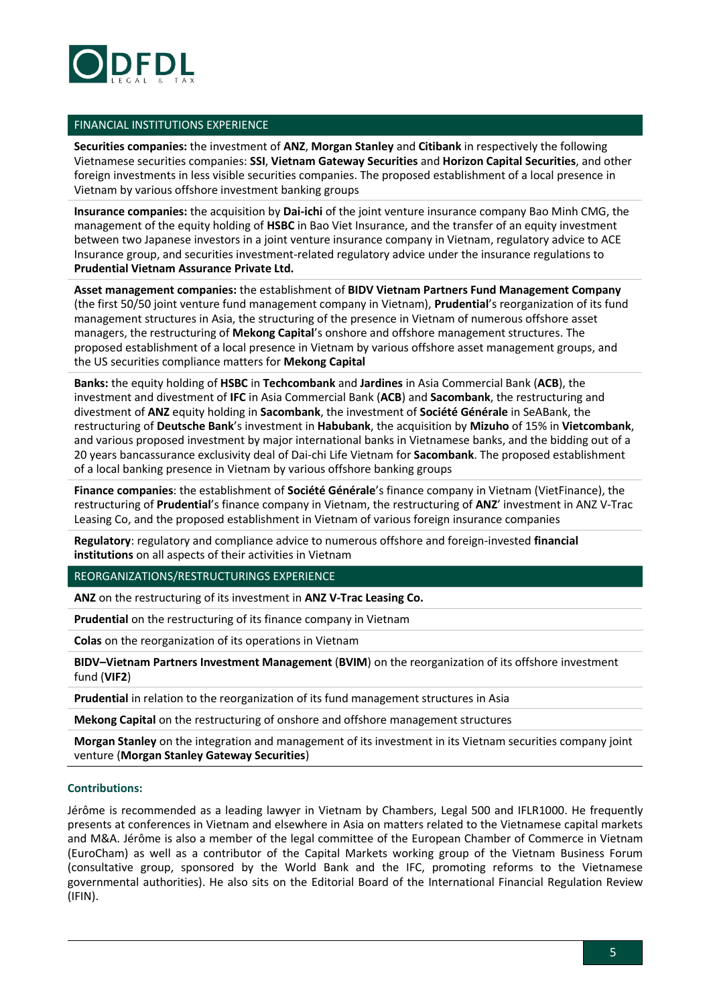

#### FINANCIAL INSTITUTIONS EXPERIENCE

**Securities companies:** the investment of **ANZ**, **Morgan Stanley** and **Citibank** in respectively the following Vietnamese securities companies: **SSI**, **Vietnam Gateway Securities** and **Horizon Capital Securities**, and other foreign investments in less visible securities companies. The proposed establishment of a local presence in Vietnam by various offshore investment banking groups

**Insurance companies:** the acquisition by **Dai-ichi** of the joint venture insurance company Bao Minh CMG, the management of the equity holding of **HSBC** in Bao Viet Insurance, and the transfer of an equity investment between two Japanese investors in a joint venture insurance company in Vietnam, regulatory advice to ACE Insurance group, and securities investment-related regulatory advice under the insurance regulations to **Prudential Vietnam Assurance Private Ltd.**

**Asset management companies:** the establishment of **BIDV Vietnam Partners Fund Management Company** (the first 50/50 joint venture fund management company in Vietnam), **Prudential**'s reorganization of its fund management structures in Asia, the structuring of the presence in Vietnam of numerous offshore asset managers, the restructuring of **Mekong Capital**'s onshore and offshore management structures. The proposed establishment of a local presence in Vietnam by various offshore asset management groups, and the US securities compliance matters for **Mekong Capital**

**Banks:** the equity holding of **HSBC** in **Techcombank** and **Jardines** in Asia Commercial Bank (**ACB**), the investment and divestment of **IFC** in Asia Commercial Bank (**ACB**) and **Sacombank**, the restructuring and divestment of **ANZ** equity holding in **Sacombank**, the investment of **Société Générale** in SeABank, the restructuring of **Deutsche Bank**'s investment in **Habubank**, the acquisition by **Mizuho** of 15% in **Vietcombank**, and various proposed investment by major international banks in Vietnamese banks, and the bidding out of a 20 years bancassurance exclusivity deal of Dai-chi Life Vietnam for **Sacombank**. The proposed establishment of a local banking presence in Vietnam by various offshore banking groups

**Finance companies**: the establishment of **Société Générale**'s finance company in Vietnam (VietFinance), the restructuring of **Prudential**'s finance company in Vietnam, the restructuring of **ANZ**' investment in ANZ V-Trac Leasing Co, and the proposed establishment in Vietnam of various foreign insurance companies

**Regulatory**: regulatory and compliance advice to numerous offshore and foreign-invested **financial institutions** on all aspects of their activities in Vietnam

REORGANIZATIONS/RESTRUCTURINGS EXPERIENCE

**ANZ** on the restructuring of its investment in **ANZ V-Trac Leasing Co.**

**Prudential** on the restructuring of its finance company in Vietnam

**Colas** on the reorganization of its operations in Vietnam

**BIDV–Vietnam Partners Investment Management** (**BVIM**) on the reorganization of its offshore investment fund (**VIF2**)

**Prudential** in relation to the reorganization of its fund management structures in Asia

**Mekong Capital** on the restructuring of onshore and offshore management structures

**Morgan Stanley** on the integration and management of its investment in its Vietnam securities company joint venture (**Morgan Stanley Gateway Securities**)

#### **Contributions:**

Jérôme is recommended as a leading lawyer in Vietnam by Chambers, Legal 500 and IFLR1000. He frequently presents at conferences in Vietnam and elsewhere in Asia on matters related to the Vietnamese capital markets and M&A. Jérôme is also a member of the legal committee of the European Chamber of Commerce in Vietnam (EuroCham) as well as a contributor of the Capital Markets working group of the Vietnam Business Forum (consultative group, sponsored by the World Bank and the IFC, promoting reforms to the Vietnamese governmental authorities). He also sits on the Editorial Board of the International Financial Regulation Review (IFIN).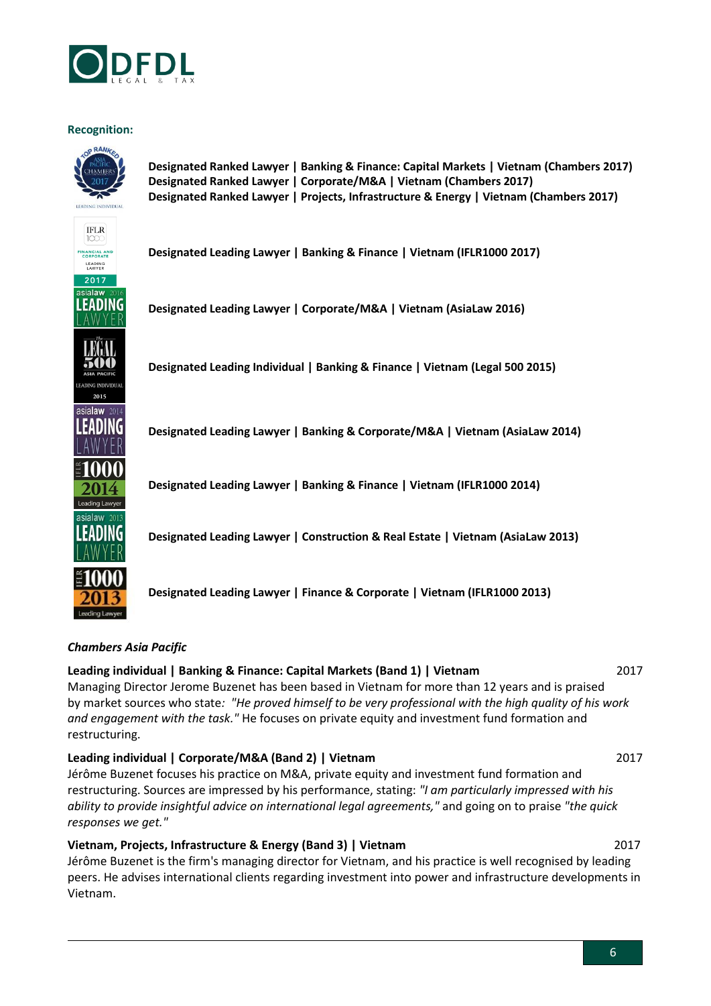

### **Recognition:**



### *Chambers Asia Pacific*

### **Leading individual | Banking & Finance: Capital Markets (Band 1) | Vietnam** 2017

Managing Director Jerome Buzenet has been based in Vietnam for more than 12 years and is praised by market sources who state*: "He proved himself to be very professional with the high quality of his work and engagement with the task."* He focuses on private equity and investment fund formation and restructuring.

### **Leading individual | Corporate/M&A (Band 2) | Vietnam** 2017

[Jérôme Buzenet](http://www.chambersandpartners.com/Asia/person/347515/jerome-buzenet) focuses his practice on M&A, private equity and investment fund formation and restructuring. Sources are impressed by his performance, stating: *"I am particularly impressed with his ability to provide insightful advice on international legal agreements,"* and going on to praise *"the quick responses we get."*

# **[Vietnam, Projects, Infrastructure & Energy](http://www.chambersandpartners.com/230/1273/editorial/8/1#2564_editorial) (Band 3) | Vietnam** 2017

Jérôme Buzenet is the firm's managing director for Vietnam, and his practice is well recognised by leading peers. He advises international clients regarding investment into power and infrastructure developments in Vietnam.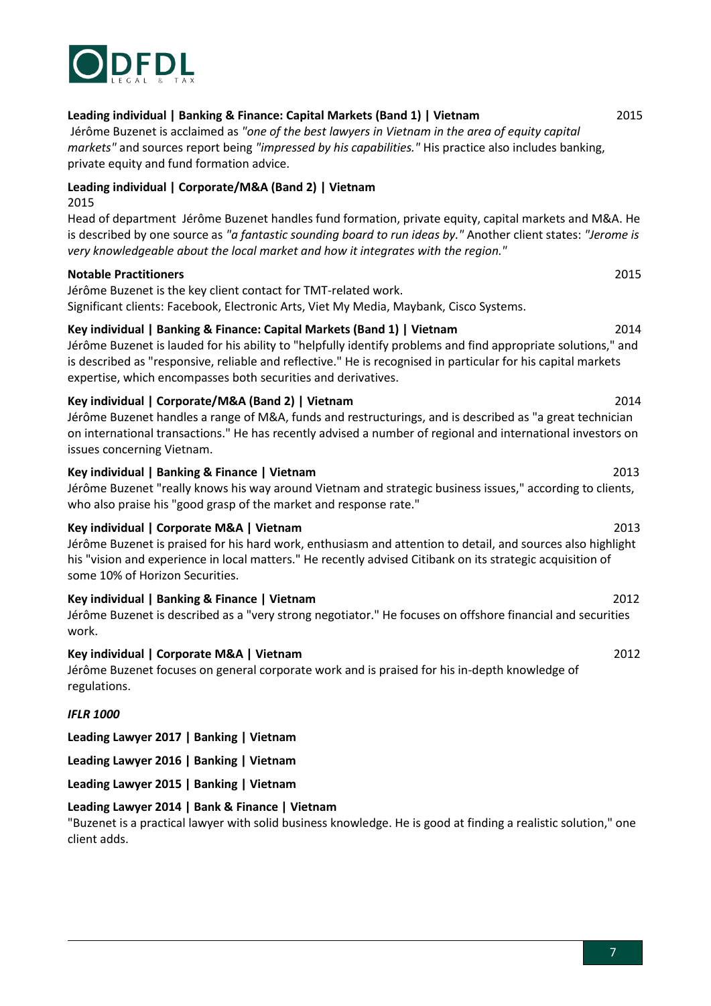

### **Leading individual | Banking & Finance: Capital Markets (Band 1) | Vietnam** 2015

Jérôme [Buzenet](http://www.chambersandpartners.com/asia/person/347515/jerome-buzenet) is acclaimed as *"one of the best lawyers in Vietnam in the area of equity capital markets"* and sources report being *"impressed by his capabilities."* His practice also includes banking, private equity and fund formation advice.

# **Leading individual | Corporate/M&A (Band 2) | Vietnam**

2015

Head of department Jérôme [Buzenet](http://www.chambersandpartners.com/asia/person/347515/jerome-buzenet) handles fund formation, private equity, capital markets and M&A. He is described by one source as *"a fantastic sounding board to run ideas by."* Another client states: *"Jerome is very knowledgeable about the local market and how it integrates with the region."*

## **Notable Practitioners** 2015

Jérôme Buzenet is the key client contact for TMT-related work. Significant clients: Facebook, Electronic Arts, Viet My Media, Maybank, Cisco Systems.

# **Key individual | Banking & Finance: Capital Markets (Band 1) | Vietnam** 2014

[Jérôme Buzenet](http://www.chambersandpartners.com/person/347515/8) is lauded for his ability to "helpfully identify problems and find appropriate solutions," and is described as "responsive, reliable and reflective." He is recognised in particular for his capital markets expertise, which encompasses both securities and derivatives.

# **Key individual | Corporate/M&A (Band 2) | Vietnam** 2014

Jérôme Buzenet handles a range of M&A, funds and restructurings, and is described as "a great technician on international transactions." He has recently advised a number of regional and international investors on issues concerning Vietnam.

## **Key individual | Banking & Finance | Vietnam** 2013

Jérôme Buzenet "really knows his way around Vietnam and strategic business issues," according to clients, who also praise his "good grasp of the market and response rate."

# **Key individual | Corporate M&A | Vietnam** 2013

Jérôme Buzenet is praised for his hard work, enthusiasm and attention to detail, and sources also highlight his "vision and experience in local matters." He recently advised Citibank on its strategic acquisition of some 10% of Horizon Securities.

### **Key individual | Banking & Finance | Vietnam** 2012

Jérôme Buzenet is described as a "very strong negotiator." He focuses on offshore financial and securities work.

# **Key individual | Corporate M&A | Vietnam** 2012

Jérôme Buzenet focuses on general corporate work and is praised for his in-depth knowledge of regulations.

### *IFLR 1000*

**Leading Lawyer 2017 | Banking | Vietnam**

**Leading Lawyer 2016 | Banking | Vietnam**

**Leading Lawyer 2015 | Banking | Vietnam**

# **Leading Lawyer 2014 | Bank & Finance | Vietnam**

"Buzenet is a practical lawyer with solid business knowledge. He is good at finding a realistic solution," one client adds.

#### 7